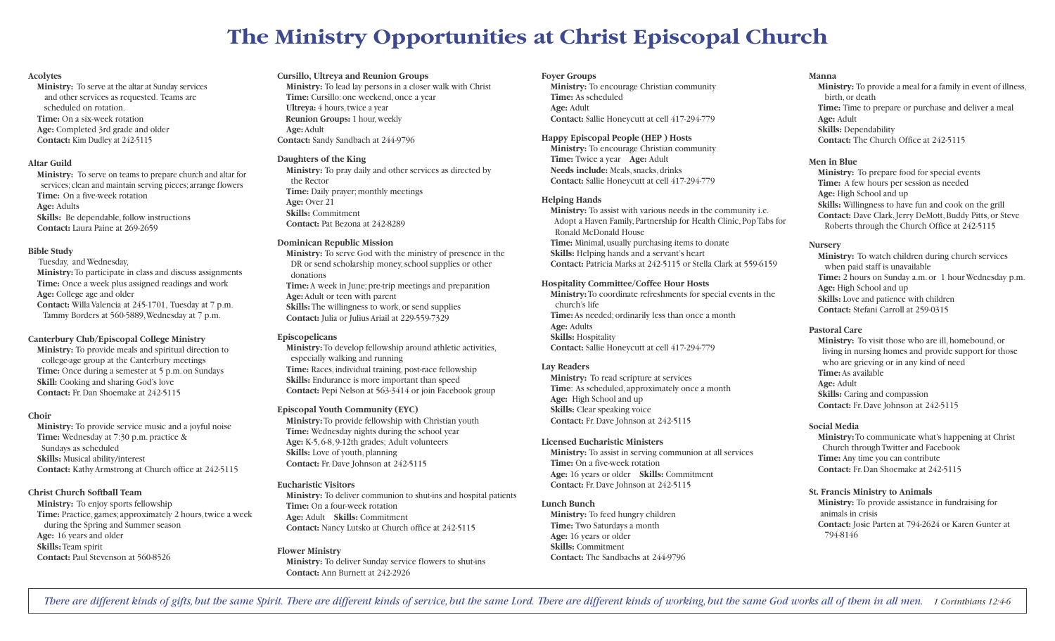# **The Ministry Opportunities at Christ Episcopal Church**

## **Acolytes**

**Ministry:** To serve at the altar at Sunday services and other services as requested. Teams are scheduled on rotation. **Time:** On a six-week rotation **Age:** Completed 3rd grade and older **Contact:** Kim Dudley at 242-5115

# **Altar Guild**

**Ministry:** To serve on teams to prepare church and altar for services; clean and maintain serving pieces; arrange flowers **Time:** On a five-week rotation **Age:** Adults **Skills:** Be dependable, follow instructions **Contact:** Laura Paine at 269-2659

## **Bible Study**

Tuesday, and Wednesday, **Ministry:**To participate in class and discuss assignments **Time:** Once a week plus assigned readings and work **Age:** College age and older **Contact:** Willa Valencia at 245-1701, Tuesday at 7 p.m. Tammy Borders at 560-5889,Wednesday at 7 p.m.

# **Canterbury Club/Episcopal College Ministry**

**Ministry:** To provide meals and spiritual direction to college-age group at the Canterbury meetings **Time:** Once during a semester at 5 p.m. on Sundays **Skill:** Cooking and sharing God's love **Contact:** Fr. Dan Shoemake at 242-5115

## **Choir**

**Ministry:** To provide service music and a joyful noise **Time:** Wednesday at 7:30 p.m.practice & Sundays as scheduled **Skills:** Musical ability/interest **Contact:** Kathy Armstrong at Church office at 242-5115

## **Christ Church Softball Team**

**Ministry:** To enjoy sports fellowship **Time:** Practice, games; approximately 2 hours, twice a week during the Spring and Summer season **Age:** 16 years and older **Skills:**Team spirit **Contact:** Paul Stevenson at 560-8526

## **Cursillo, Ultreya and Reunion Groups**

**Ministry:** To lead lay persons in a closer walk with Christ **Time:** Cursillo: one weekend, once a year **Ultreya:** 4 hours, twice a year **Reunion Groups:** 1 hour, weekly **Age:** Adult **Contact:** Sandy Sandbach at 244-9796

# **Daughters of the King**

**Ministry:** To pray daily and other services as directed by the Rector **Time:** Daily prayer; monthly meetings **Age:** Over 21 **Skills:** Commitment **Contact:** Pat Bezona at 242-8289

## **Dominican Republic Mission**

**Ministry:** To serve God with the ministry of presence in the DR or send scholarship money, school supplies or other donations **Time:** A week in June; pre-trip meetings and preparation **Age:** Adult or teen with parent **Skills:**The willingness to work, or send supplies **Contact:** Julia or Julius Ariail at 229-559-7329

#### **Episcopelicans**

**Ministry:**To develop fellowship around athletic activities, especially walking and running Time: Races, individual training, post-race fellowship **Skills:** Endurance is more important than speed **Contact:** Pepi Nelson at 563-3414 or join Facebook group

## **Episcopal Youth Community (EYC)**

**Ministry:**To provide fellowship with Christian youth **Time:** Wednesday nights during the school year **Age:** K-5, 6-8, 9-12th grades; Adult volunteers **Skills:** Love of youth, planning **Contact:** Fr. Dave Johnson at 242-5115

# **Eucharistic Visitors**

**Ministry:** To deliver communion to shut-ins and hospital patients **Time:** On a four-week rotation **Age:** Adult **Skills:** Commitment **Contact:** Nancy Lutsko at Church office at 242-5115

## **Flower Ministry**

**Ministry:** To deliver Sunday service flowers to shut-ins **Contact:** Ann Burnett at 242-2926

## **Foyer Groups**

**Ministry:** To encourage Christian community **Time:** As scheduled **Age:** Adult **Contact:** Sallie Honeycutt at cell 417-294-779

# **Happy Episcopal People (HEP ) Hosts**

**Ministry:** To encourage Christian community **Time:** Twice a year **Age:** Adult **Needs include:** Meals,snacks, drinks **Contact:** Sallie Honeycutt at cell 417-294-779

# **Helping Hands**

**Ministry:** To assist with various needs in the community i.e. Adopt a Haven Family, Partnership for Health Clinic, PopTabs for Ronald McDonald House **Time:** Minimal, usually purchasing items to donate **Skills:** Helping hands and a servant's heart **Contact:** Patricia Marks at 242-5115 or Stella Clark at 559-6159

# **Hospitality Committee/Coffee Hour Hosts**

**Ministry:**To coordinate refreshments for special events in the church's life **Time:** As needed; ordinarily less than once a month **Age:** Adults **Skills:** Hospitality **Contact:** Sallie Honeycutt at cell 417-294-779

## **Lay Readers**

**Ministry:** To read scripture at services **Time**: As scheduled, approximately once a month **Age:** High School and up **Skills:** Clear speaking voice **Contact:** Fr. Dave Johnson at 242-5115

## **Licensed Eucharistic Ministers**

**Ministry:** To assist in serving communion at all services **Time:** On a five-week rotation **Age:** 16 years or older **Skills:** Commitment **Contact:** Fr. Dave Johnson at 242-5115

## **Lunch Bunch**

**Ministry:** To feed hungry children **Time:** Two Saturdays a month **Age:** 16 years or older **Skills:** Commitment **Contact:** The Sandbachs at 244-9796

# **Manna**

**Ministry:** To provide a meal for a family in event of illness, birth, or death **Time:** Time to prepare or purchase and deliver a meal **Age:** Adult **Skills:** Dependability **Contact:** The Church Office at 242-5115

# **Men in Blue**

**Ministry:** To prepare food for special events **Time:** A few hours per session as needed **Age:** High School and up **Skills:** Willingness to have fun and cook on the grill **Contact:** Dave Clark,Jerry DeMott, Buddy Pitts, or Steve Roberts through the Church Office at 242-5115

# **Nursery**

**Ministry:** To watch children during church services when paid staff is unavailable **Time:** 2 hours on Sunday a.m. or 1 hour Wednesday p.m. **Age:** High School and up **Skills:** Love and patience with children **Contact:** Stefani Carroll at 259-0315

# **Pastoral Care**

**Ministry:** To visit those who are ill, homebound, or living in nursing homes and provide support for those who are grieving or in any kind of need **Time:** As available **Age:** Adult **Skills:** Caring and compassion **Contact:** Fr. Dave Johnson at 242-5115

# **Social Media**

**Ministry:**To communicate what's happening at Christ Church throughTwitter and Facebook **Time:** Any time you can contribute **Contact:** Fr. Dan Shoemake at 242-5115

## **St. Francis Ministry to Animals**

**Ministry:** To provide assistance in fundraising for animals in crisis **Contact:** Josie Parten at 794-2624 or Karen Gunter at 794-8146